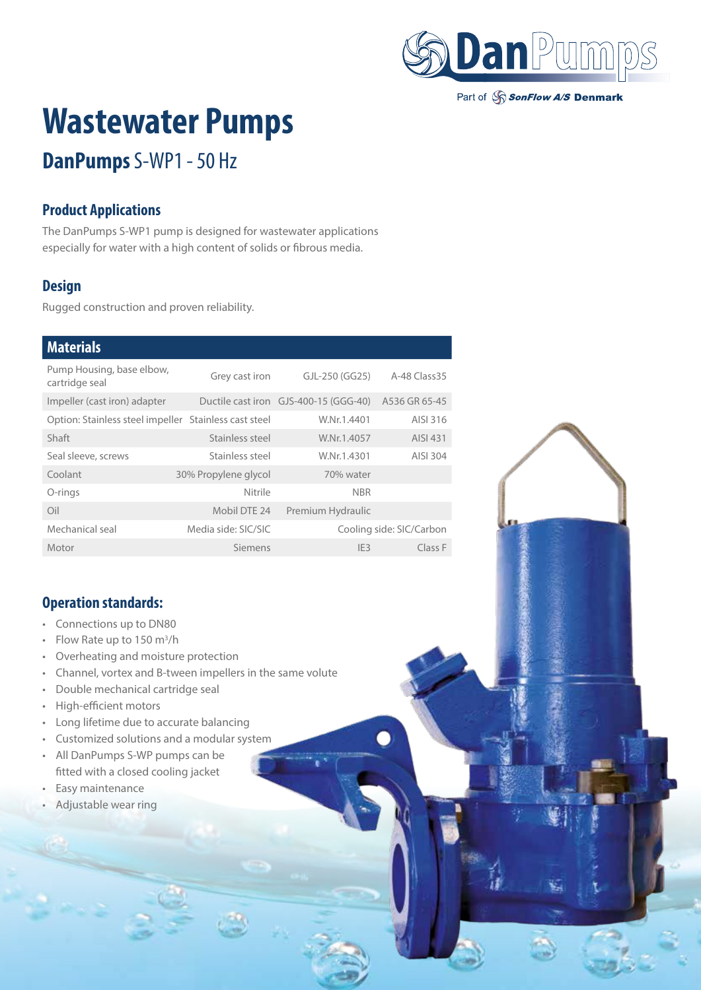

Part of SonFlow A/S Denmark

# **Wastewater Pumps**

## **DanPumps** S-WP1 - 50 Hz

#### **Product Applications**

The DanPumps S-WP1 pump is designed for wastewater applications especially for water with a high content of solids or fibrous media.

#### **Design**

Rugged construction and proven reliability.

#### **Materials**

| Pump Housing, base elbow,<br>cartridge seal           | Grey cast iron       | GJL-250 (GG25)                        | A-48 Class 35            |
|-------------------------------------------------------|----------------------|---------------------------------------|--------------------------|
| Impeller (cast iron) adapter                          |                      | Ductile cast iron GJS-400-15 (GGG-40) | A536 GR 65-45            |
| Option: Stainless steel impeller Stainless cast steel |                      | W.Nr.1.4401                           | AISI 316                 |
| Shaft                                                 | Stainless steel      | W.Nr.1.4057                           | AISI 431                 |
| Seal sleeve, screws                                   | Stainless steel      | W.Nr.1.4301                           | AISI 304                 |
| Coolant                                               | 30% Propylene glycol | 70% water                             |                          |
| O-rings                                               | Nitrile              | <b>NBR</b>                            |                          |
| Oil                                                   | Mobil DTE 24         | Premium Hydraulic                     |                          |
| Mechanical seal                                       | Media side: SIC/SIC  |                                       | Cooling side: SIC/Carbon |
| Motor                                                 | Siemens              | IF3                                   | Class F                  |

#### **Operation standards:**

- Connections up to DN80
- Flow Rate up to  $150 \text{ m}^3/\text{h}$
- Overheating and moisture protection
- Channel, vortex and B-tween impellers in the same volute
- Double mechanical cartridge seal
- High-efficient motors
- Long lifetime due to accurate balancing
- Customized solutions and a modular system
- All DanPumps S-WP pumps can be fitted with a closed cooling jacket
- Easy maintenance
- Adjustable wear ring